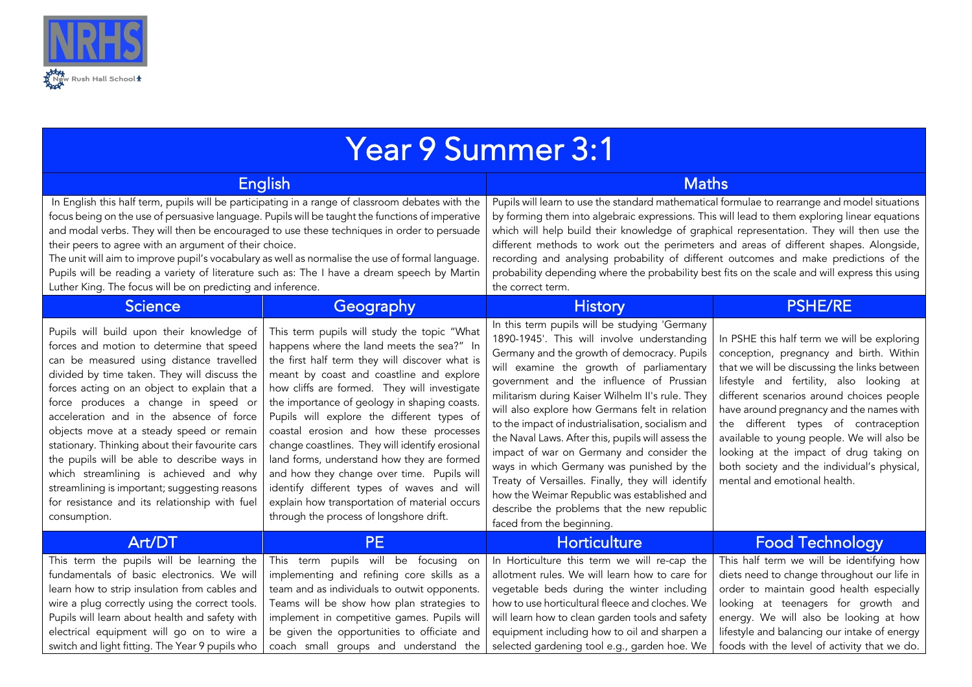

| <b>Year 9 Summer 3:1</b>                                                                                                                                                                                                                                                                                                                                                                                                                                                                                                                                                                                                        |                                                                                                                                                                                                                                                                                                                                                                                                                                                                                                                                                                                                                                                                          |                                                                                                                                                                                                                                                                                                                                                                                                                                                                                                                                                                                                                                                                                                                                |                                                                                                                                                                                                                                                                                                                                                                                                                                                                                             |  |
|---------------------------------------------------------------------------------------------------------------------------------------------------------------------------------------------------------------------------------------------------------------------------------------------------------------------------------------------------------------------------------------------------------------------------------------------------------------------------------------------------------------------------------------------------------------------------------------------------------------------------------|--------------------------------------------------------------------------------------------------------------------------------------------------------------------------------------------------------------------------------------------------------------------------------------------------------------------------------------------------------------------------------------------------------------------------------------------------------------------------------------------------------------------------------------------------------------------------------------------------------------------------------------------------------------------------|--------------------------------------------------------------------------------------------------------------------------------------------------------------------------------------------------------------------------------------------------------------------------------------------------------------------------------------------------------------------------------------------------------------------------------------------------------------------------------------------------------------------------------------------------------------------------------------------------------------------------------------------------------------------------------------------------------------------------------|---------------------------------------------------------------------------------------------------------------------------------------------------------------------------------------------------------------------------------------------------------------------------------------------------------------------------------------------------------------------------------------------------------------------------------------------------------------------------------------------|--|
| <b>English</b>                                                                                                                                                                                                                                                                                                                                                                                                                                                                                                                                                                                                                  |                                                                                                                                                                                                                                                                                                                                                                                                                                                                                                                                                                                                                                                                          | <b>Maths</b>                                                                                                                                                                                                                                                                                                                                                                                                                                                                                                                                                                                                                                                                                                                   |                                                                                                                                                                                                                                                                                                                                                                                                                                                                                             |  |
| In English this half term, pupils will be participating in a range of classroom debates with the<br>focus being on the use of persuasive language. Pupils will be taught the functions of imperative<br>and modal verbs. They will then be encouraged to use these techniques in order to persuade<br>their peers to agree with an argument of their choice.<br>The unit will aim to improve pupil's vocabulary as well as normalise the use of formal language.<br>Pupils will be reading a variety of literature such as: The I have a dream speech by Martin<br>Luther King. The focus will be on predicting and inference.  |                                                                                                                                                                                                                                                                                                                                                                                                                                                                                                                                                                                                                                                                          | Pupils will learn to use the standard mathematical formulae to rearrange and model situations<br>by forming them into algebraic expressions. This will lead to them exploring linear equations<br>which will help build their knowledge of graphical representation. They will then use the<br>different methods to work out the perimeters and areas of different shapes. Alongside,<br>recording and analysing probability of different outcomes and make predictions of the<br>probability depending where the probability best fits on the scale and will express this using<br>the correct term.                                                                                                                          |                                                                                                                                                                                                                                                                                                                                                                                                                                                                                             |  |
| <b>Science</b>                                                                                                                                                                                                                                                                                                                                                                                                                                                                                                                                                                                                                  | Geography                                                                                                                                                                                                                                                                                                                                                                                                                                                                                                                                                                                                                                                                | <b>History</b>                                                                                                                                                                                                                                                                                                                                                                                                                                                                                                                                                                                                                                                                                                                 | <b>PSHE/RE</b>                                                                                                                                                                                                                                                                                                                                                                                                                                                                              |  |
| Pupils will build upon their knowledge of<br>forces and motion to determine that speed<br>can be measured using distance travelled<br>divided by time taken. They will discuss the<br>forces acting on an object to explain that a<br>force produces a change in speed or<br>acceleration and in the absence of force<br>objects move at a steady speed or remain<br>stationary. Thinking about their favourite cars<br>the pupils will be able to describe ways in<br>which streamlining is achieved and why<br>streamlining is important; suggesting reasons<br>for resistance and its relationship with fuel<br>consumption. | This term pupils will study the topic "What<br>happens where the land meets the sea?" In<br>the first half term they will discover what is<br>meant by coast and coastline and explore<br>how cliffs are formed. They will investigate<br>the importance of geology in shaping coasts.<br>Pupils will explore the different types of<br>coastal erosion and how these processes<br>change coastlines. They will identify erosional<br>land forms, understand how they are formed<br>and how they change over time. Pupils will<br>identify different types of waves and will<br>explain how transportation of material occurs<br>through the process of longshore drift. | In this term pupils will be studying 'Germany<br>1890-1945'. This will involve understanding<br>Germany and the growth of democracy. Pupils<br>will examine the growth of parliamentary<br>government and the influence of Prussian<br>militarism during Kaiser Wilhelm II's rule. They<br>will also explore how Germans felt in relation<br>to the impact of industrialisation, socialism and<br>the Naval Laws. After this, pupils will assess the<br>impact of war on Germany and consider the<br>ways in which Germany was punished by the<br>Treaty of Versailles. Finally, they will identify<br>how the Weimar Republic was established and<br>describe the problems that the new republic<br>faced from the beginning. | In PSHE this half term we will be exploring<br>conception, pregnancy and birth. Within<br>that we will be discussing the links between<br>lifestyle and fertility, also looking at<br>different scenarios around choices people<br>have around pregnancy and the names with<br>the different types of contraception<br>available to young people. We will also be<br>looking at the impact of drug taking on<br>both society and the individual's physical,<br>mental and emotional health. |  |
| Art/DT                                                                                                                                                                                                                                                                                                                                                                                                                                                                                                                                                                                                                          | <b>PE</b>                                                                                                                                                                                                                                                                                                                                                                                                                                                                                                                                                                                                                                                                | <b>Horticulture</b>                                                                                                                                                                                                                                                                                                                                                                                                                                                                                                                                                                                                                                                                                                            | <b>Food Technology</b>                                                                                                                                                                                                                                                                                                                                                                                                                                                                      |  |
| This term the pupils will be learning the<br>fundamentals of basic electronics. We will<br>learn how to strip insulation from cables and<br>wire a plug correctly using the correct tools.<br>Pupils will learn about health and safety with<br>electrical equipment will go on to wire a<br>switch and light fitting. The Year 9 pupils who                                                                                                                                                                                                                                                                                    | This term pupils will be focusing on<br>implementing and refining core skills as a<br>team and as individuals to outwit opponents.<br>Teams will be show how plan strategies to<br>implement in competitive games. Pupils will<br>be given the opportunities to officiate and<br>coach small groups and understand the                                                                                                                                                                                                                                                                                                                                                   | In Horticulture this term we will re-cap the<br>allotment rules. We will learn how to care for<br>vegetable beds during the winter including<br>how to use horticultural fleece and cloches. We<br>will learn how to clean garden tools and safety<br>equipment including how to oil and sharpen a<br>selected gardening tool e.g., garden hoe. We                                                                                                                                                                                                                                                                                                                                                                             | This half term we will be identifying how<br>diets need to change throughout our life in<br>order to maintain good health especially<br>looking at teenagers for growth and<br>energy. We will also be looking at how<br>lifestyle and balancing our intake of energy<br>foods with the level of activity that we do.                                                                                                                                                                       |  |